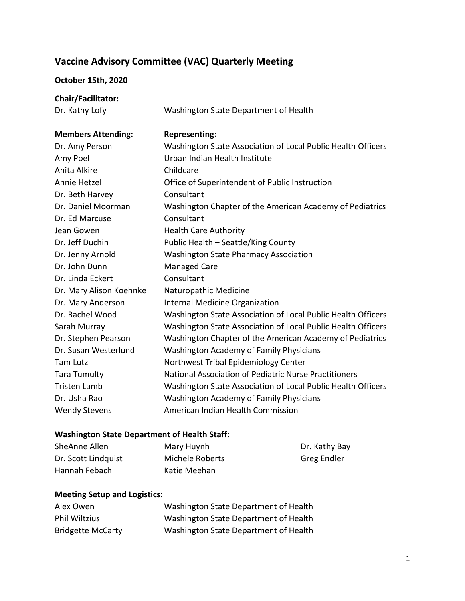## **Vaccine Advisory Committee (VAC) Quarterly Meeting**

## **October 15th, 2020**

**Chair/Facilitator:** Dr. Kathy Lofy **Washington State Department of Health Members Attending: Representing:** 

| Dr. Amy Person          | Washington State Association of Local Public Health Officers |
|-------------------------|--------------------------------------------------------------|
| Amy Poel                | Urban Indian Health Institute                                |
| Anita Alkire            | Childcare                                                    |
| Annie Hetzel            | Office of Superintendent of Public Instruction               |
| Dr. Beth Harvey         | Consultant                                                   |
| Dr. Daniel Moorman      | Washington Chapter of the American Academy of Pediatrics     |
| Dr. Ed Marcuse          | Consultant                                                   |
| Jean Gowen              | <b>Health Care Authority</b>                                 |
| Dr. Jeff Duchin         | Public Health - Seattle/King County                          |
| Dr. Jenny Arnold        | <b>Washington State Pharmacy Association</b>                 |
| Dr. John Dunn           | Managed Care                                                 |
| Dr. Linda Eckert        | Consultant                                                   |
| Dr. Mary Alison Koehnke | Naturopathic Medicine                                        |
| Dr. Mary Anderson       | Internal Medicine Organization                               |
| Dr. Rachel Wood         | Washington State Association of Local Public Health Officers |
| Sarah Murray            | Washington State Association of Local Public Health Officers |
| Dr. Stephen Pearson     | Washington Chapter of the American Academy of Pediatrics     |
| Dr. Susan Westerlund    | <b>Washington Academy of Family Physicians</b>               |
| Tam Lutz                | Northwest Tribal Epidemiology Center                         |
| <b>Tara Tumulty</b>     | National Association of Pediatric Nurse Practitioners        |
| <b>Tristen Lamb</b>     | Washington State Association of Local Public Health Officers |
| Dr. Usha Rao            | <b>Washington Academy of Family Physicians</b>               |
| <b>Wendy Stevens</b>    | American Indian Health Commission                            |

## **Washington State Department of Health Staff:**

| SheAnne Allen       | Mary Huynh      | Dr. Kathy Bay |
|---------------------|-----------------|---------------|
| Dr. Scott Lindquist | Michele Roberts | Greg Endler   |
| Hannah Febach       | Katie Meehan    |               |

## **Meeting Setup and Logistics:**

| Alex Owen                | Washington State Department of Health |
|--------------------------|---------------------------------------|
| <b>Phil Wiltzius</b>     | Washington State Department of Health |
| <b>Bridgette McCarty</b> | Washington State Department of Health |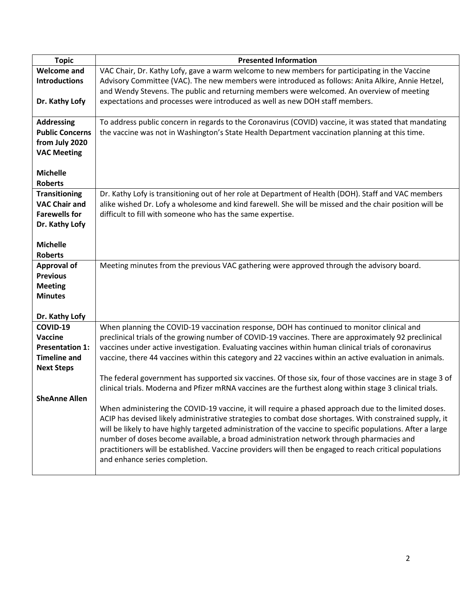| <b>Topic</b>           | <b>Presented Information</b>                                                                                |  |  |
|------------------------|-------------------------------------------------------------------------------------------------------------|--|--|
| <b>Welcome and</b>     | VAC Chair, Dr. Kathy Lofy, gave a warm welcome to new members for participating in the Vaccine              |  |  |
| <b>Introductions</b>   | Advisory Committee (VAC). The new members were introduced as follows: Anita Alkire, Annie Hetzel,           |  |  |
|                        | and Wendy Stevens. The public and returning members were welcomed. An overview of meeting                   |  |  |
| Dr. Kathy Lofy         | expectations and processes were introduced as well as new DOH staff members.                                |  |  |
|                        |                                                                                                             |  |  |
| <b>Addressing</b>      | To address public concern in regards to the Coronavirus (COVID) vaccine, it was stated that mandating       |  |  |
| <b>Public Concerns</b> | the vaccine was not in Washington's State Health Department vaccination planning at this time.              |  |  |
| from July 2020         |                                                                                                             |  |  |
| <b>VAC Meeting</b>     |                                                                                                             |  |  |
|                        |                                                                                                             |  |  |
| <b>Michelle</b>        |                                                                                                             |  |  |
| <b>Roberts</b>         |                                                                                                             |  |  |
| <b>Transitioning</b>   | Dr. Kathy Lofy is transitioning out of her role at Department of Health (DOH). Staff and VAC members        |  |  |
| <b>VAC Chair and</b>   | alike wished Dr. Lofy a wholesome and kind farewell. She will be missed and the chair position will be      |  |  |
| <b>Farewells for</b>   | difficult to fill with someone who has the same expertise.                                                  |  |  |
| Dr. Kathy Lofy         |                                                                                                             |  |  |
|                        |                                                                                                             |  |  |
| <b>Michelle</b>        |                                                                                                             |  |  |
| <b>Roberts</b>         |                                                                                                             |  |  |
| <b>Approval of</b>     | Meeting minutes from the previous VAC gathering were approved through the advisory board.                   |  |  |
| <b>Previous</b>        |                                                                                                             |  |  |
| <b>Meeting</b>         |                                                                                                             |  |  |
| <b>Minutes</b>         |                                                                                                             |  |  |
| Dr. Kathy Lofy         |                                                                                                             |  |  |
| COVID-19               | When planning the COVID-19 vaccination response, DOH has continued to monitor clinical and                  |  |  |
| Vaccine                | preclinical trials of the growing number of COVID-19 vaccines. There are approximately 92 preclinical       |  |  |
| <b>Presentation 1:</b> | vaccines under active investigation. Evaluating vaccines within human clinical trials of coronavirus        |  |  |
| <b>Timeline and</b>    | vaccine, there 44 vaccines within this category and 22 vaccines within an active evaluation in animals.     |  |  |
| <b>Next Steps</b>      |                                                                                                             |  |  |
|                        | The federal government has supported six vaccines. Of those six, four of those vaccines are in stage 3 of   |  |  |
|                        | clinical trials. Moderna and Pfizer mRNA vaccines are the furthest along within stage 3 clinical trials.    |  |  |
| <b>SheAnne Allen</b>   |                                                                                                             |  |  |
|                        | When administering the COVID-19 vaccine, it will require a phased approach due to the limited doses.        |  |  |
|                        | ACIP has devised likely administrative strategies to combat dose shortages. With constrained supply, it     |  |  |
|                        | will be likely to have highly targeted administration of the vaccine to specific populations. After a large |  |  |
|                        | number of doses become available, a broad administration network through pharmacies and                     |  |  |
|                        | practitioners will be established. Vaccine providers will then be engaged to reach critical populations     |  |  |
|                        | and enhance series completion.                                                                              |  |  |
|                        |                                                                                                             |  |  |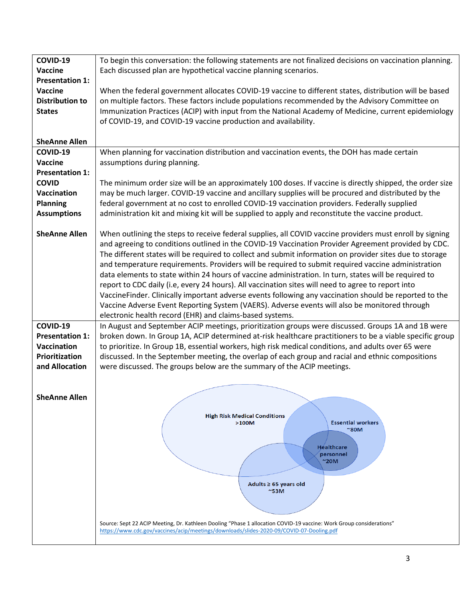| COVID-19               | To begin this conversation: the following statements are not finalized decisions on vaccination planning.           |  |  |
|------------------------|---------------------------------------------------------------------------------------------------------------------|--|--|
| Vaccine                | Each discussed plan are hypothetical vaccine planning scenarios.                                                    |  |  |
| <b>Presentation 1:</b> |                                                                                                                     |  |  |
| Vaccine                | When the federal government allocates COVID-19 vaccine to different states, distribution will be based              |  |  |
| <b>Distribution to</b> | on multiple factors. These factors include populations recommended by the Advisory Committee on                     |  |  |
| <b>States</b>          | Immunization Practices (ACIP) with input from the National Academy of Medicine, current epidemiology                |  |  |
|                        | of COVID-19, and COVID-19 vaccine production and availability.                                                      |  |  |
|                        |                                                                                                                     |  |  |
|                        |                                                                                                                     |  |  |
| <b>SheAnne Allen</b>   |                                                                                                                     |  |  |
| COVID-19               | When planning for vaccination distribution and vaccination events, the DOH has made certain                         |  |  |
| Vaccine                | assumptions during planning.                                                                                        |  |  |
| <b>Presentation 1:</b> |                                                                                                                     |  |  |
| <b>COVID</b>           | The minimum order size will be an approximately 100 doses. If vaccine is directly shipped, the order size           |  |  |
|                        |                                                                                                                     |  |  |
| Vaccination            | may be much larger. COVID-19 vaccine and ancillary supplies will be procured and distributed by the                 |  |  |
| <b>Planning</b>        | federal government at no cost to enrolled COVID-19 vaccination providers. Federally supplied                        |  |  |
| <b>Assumptions</b>     | administration kit and mixing kit will be supplied to apply and reconstitute the vaccine product.                   |  |  |
|                        |                                                                                                                     |  |  |
| <b>SheAnne Allen</b>   | When outlining the steps to receive federal supplies, all COVID vaccine providers must enroll by signing            |  |  |
|                        | and agreeing to conditions outlined in the COVID-19 Vaccination Provider Agreement provided by CDC.                 |  |  |
|                        |                                                                                                                     |  |  |
|                        | The different states will be required to collect and submit information on provider sites due to storage            |  |  |
|                        | and temperature requirements. Providers will be required to submit required vaccine administration                  |  |  |
|                        | data elements to state within 24 hours of vaccine administration. In turn, states will be required to               |  |  |
|                        | report to CDC daily (i.e, every 24 hours). All vaccination sites will need to agree to report into                  |  |  |
|                        | VaccineFinder. Clinically important adverse events following any vaccination should be reported to the              |  |  |
|                        | Vaccine Adverse Event Reporting System (VAERS). Adverse events will also be monitored through                       |  |  |
|                        | electronic health record (EHR) and claims-based systems.                                                            |  |  |
| COVID-19               | In August and September ACIP meetings, prioritization groups were discussed. Groups 1A and 1B were                  |  |  |
| <b>Presentation 1:</b> | broken down. In Group 1A, ACIP determined at-risk healthcare practitioners to be a viable specific group            |  |  |
|                        |                                                                                                                     |  |  |
| Vaccination            | to prioritize. In Group 1B, essential workers, high risk medical conditions, and adults over 65 were                |  |  |
| Prioritization         | discussed. In the September meeting, the overlap of each group and racial and ethnic compositions                   |  |  |
| and Allocation         | were discussed. The groups below are the summary of the ACIP meetings.                                              |  |  |
|                        |                                                                                                                     |  |  |
|                        |                                                                                                                     |  |  |
| <b>SheAnne Allen</b>   |                                                                                                                     |  |  |
|                        |                                                                                                                     |  |  |
|                        | <b>High Risk Medical Conditions</b>                                                                                 |  |  |
|                        | <b>Essential workers</b><br>$>100M$<br>$^{\sim}80M$                                                                 |  |  |
|                        |                                                                                                                     |  |  |
|                        | <b>Healthcare</b>                                                                                                   |  |  |
|                        | personnel                                                                                                           |  |  |
|                        | $^{\sim}$ 20M                                                                                                       |  |  |
|                        |                                                                                                                     |  |  |
|                        |                                                                                                                     |  |  |
|                        | Adults $\geq 65$ years old<br>$~^{\sim}$ 53M                                                                        |  |  |
|                        |                                                                                                                     |  |  |
|                        |                                                                                                                     |  |  |
|                        |                                                                                                                     |  |  |
|                        | Source: Sept 22 ACIP Meeting, Dr. Kathleen Dooling "Phase 1 allocation COVID-19 vaccine: Work Group considerations" |  |  |
|                        | https://www.cdc.gov/vaccines/acip/meetings/downloads/slides-2020-09/COVID-07-Dooling.pdf                            |  |  |
|                        |                                                                                                                     |  |  |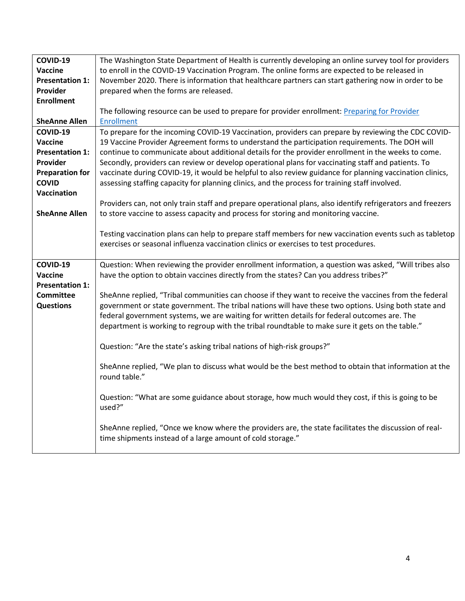| COVID-19               | The Washington State Department of Health is currently developing an online survey tool for providers       |  |  |
|------------------------|-------------------------------------------------------------------------------------------------------------|--|--|
| Vaccine                | to enroll in the COVID-19 Vaccination Program. The online forms are expected to be released in              |  |  |
| <b>Presentation 1:</b> | November 2020. There is information that healthcare partners can start gathering now in order to be         |  |  |
| Provider               | prepared when the forms are released.                                                                       |  |  |
| <b>Enrollment</b>      |                                                                                                             |  |  |
|                        | The following resource can be used to prepare for provider enrollment: Preparing for Provider               |  |  |
| <b>SheAnne Allen</b>   | <b>Enrollment</b>                                                                                           |  |  |
| COVID-19               | To prepare for the incoming COVID-19 Vaccination, providers can prepare by reviewing the CDC COVID-         |  |  |
| Vaccine                |                                                                                                             |  |  |
|                        | 19 Vaccine Provider Agreement forms to understand the participation requirements. The DOH will              |  |  |
| <b>Presentation 1:</b> | continue to communicate about additional details for the provider enrollment in the weeks to come.          |  |  |
| Provider               | Secondly, providers can review or develop operational plans for vaccinating staff and patients. To          |  |  |
| <b>Preparation for</b> | vaccinate during COVID-19, it would be helpful to also review guidance for planning vaccination clinics,    |  |  |
| <b>COVID</b>           | assessing staffing capacity for planning clinics, and the process for training staff involved.              |  |  |
| <b>Vaccination</b>     |                                                                                                             |  |  |
|                        | Providers can, not only train staff and prepare operational plans, also identify refrigerators and freezers |  |  |
| <b>SheAnne Allen</b>   | to store vaccine to assess capacity and process for storing and monitoring vaccine.                         |  |  |
|                        |                                                                                                             |  |  |
|                        | Testing vaccination plans can help to prepare staff members for new vaccination events such as tabletop     |  |  |
|                        | exercises or seasonal influenza vaccination clinics or exercises to test procedures.                        |  |  |
|                        |                                                                                                             |  |  |
| COVID-19               | Question: When reviewing the provider enrollment information, a question was asked, "Will tribes also       |  |  |
| Vaccine                | have the option to obtain vaccines directly from the states? Can you address tribes?"                       |  |  |
| <b>Presentation 1:</b> |                                                                                                             |  |  |
| <b>Committee</b>       | SheAnne replied, "Tribal communities can choose if they want to receive the vaccines from the federal       |  |  |
| <b>Questions</b>       | government or state government. The tribal nations will have these two options. Using both state and        |  |  |
|                        | federal government systems, we are waiting for written details for federal outcomes are. The                |  |  |
|                        | department is working to regroup with the tribal roundtable to make sure it gets on the table."             |  |  |
|                        |                                                                                                             |  |  |
|                        | Question: "Are the state's asking tribal nations of high-risk groups?"                                      |  |  |
|                        |                                                                                                             |  |  |
|                        | SheAnne replied, "We plan to discuss what would be the best method to obtain that information at the        |  |  |
|                        | round table."                                                                                               |  |  |
|                        |                                                                                                             |  |  |
|                        | Question: "What are some guidance about storage, how much would they cost, if this is going to be           |  |  |
|                        | used?"                                                                                                      |  |  |
|                        |                                                                                                             |  |  |
|                        | SheAnne replied, "Once we know where the providers are, the state facilitates the discussion of real-       |  |  |
|                        |                                                                                                             |  |  |
|                        |                                                                                                             |  |  |
|                        | time shipments instead of a large amount of cold storage."                                                  |  |  |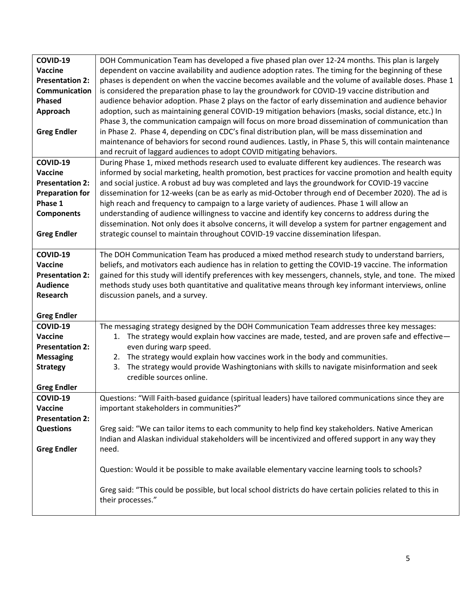| COVID-19               | DOH Communication Team has developed a five phased plan over 12-24 months. This plan is largely                                                                                                    |  |  |
|------------------------|----------------------------------------------------------------------------------------------------------------------------------------------------------------------------------------------------|--|--|
| <b>Vaccine</b>         | dependent on vaccine availability and audience adoption rates. The timing for the beginning of these                                                                                               |  |  |
| <b>Presentation 2:</b> | phases is dependent on when the vaccine becomes available and the volume of available doses. Phase 1                                                                                               |  |  |
| Communication          | is considered the preparation phase to lay the groundwork for COVID-19 vaccine distribution and                                                                                                    |  |  |
| <b>Phased</b>          | audience behavior adoption. Phase 2 plays on the factor of early dissemination and audience behavior                                                                                               |  |  |
| Approach               | adoption, such as maintaining general COVID-19 mitigation behaviors (masks, social distance, etc.) In                                                                                              |  |  |
|                        | Phase 3, the communication campaign will focus on more broad dissemination of communication than                                                                                                   |  |  |
| <b>Greg Endler</b>     | in Phase 2. Phase 4, depending on CDC's final distribution plan, will be mass dissemination and                                                                                                    |  |  |
|                        | maintenance of behaviors for second round audiences. Lastly, in Phase 5, this will contain maintenance                                                                                             |  |  |
|                        | and recruit of laggard audiences to adopt COVID mitigating behaviors.                                                                                                                              |  |  |
| COVID-19               | During Phase 1, mixed methods research used to evaluate different key audiences. The research was                                                                                                  |  |  |
| <b>Vaccine</b>         | informed by social marketing, health promotion, best practices for vaccine promotion and health equity                                                                                             |  |  |
| <b>Presentation 2:</b> | and social justice. A robust ad buy was completed and lays the groundwork for COVID-19 vaccine                                                                                                     |  |  |
| <b>Preparation for</b> |                                                                                                                                                                                                    |  |  |
| Phase 1                | dissemination for 12-weeks (can be as early as mid-October through end of December 2020). The ad is<br>high reach and frequency to campaign to a large variety of audiences. Phase 1 will allow an |  |  |
| <b>Components</b>      | understanding of audience willingness to vaccine and identify key concerns to address during the                                                                                                   |  |  |
|                        | dissemination. Not only does it absolve concerns, it will develop a system for partner engagement and                                                                                              |  |  |
| <b>Greg Endler</b>     | strategic counsel to maintain throughout COVID-19 vaccine dissemination lifespan.                                                                                                                  |  |  |
|                        |                                                                                                                                                                                                    |  |  |
| COVID-19               | The DOH Communication Team has produced a mixed method research study to understand barriers,                                                                                                      |  |  |
| <b>Vaccine</b>         | beliefs, and motivators each audience has in relation to getting the COVID-19 vaccine. The information                                                                                             |  |  |
| <b>Presentation 2:</b> | gained for this study will identify preferences with key messengers, channels, style, and tone. The mixed                                                                                          |  |  |
| <b>Audience</b>        | methods study uses both quantitative and qualitative means through key informant interviews, online                                                                                                |  |  |
| Research               | discussion panels, and a survey.                                                                                                                                                                   |  |  |
|                        |                                                                                                                                                                                                    |  |  |
| <b>Greg Endler</b>     |                                                                                                                                                                                                    |  |  |
| COVID-19               | The messaging strategy designed by the DOH Communication Team addresses three key messages:                                                                                                        |  |  |
| Vaccine                | The strategy would explain how vaccines are made, tested, and are proven safe and effective-<br>1.                                                                                                 |  |  |
| <b>Presentation 2:</b> | even during warp speed.                                                                                                                                                                            |  |  |
| <b>Messaging</b>       | 2. The strategy would explain how vaccines work in the body and communities.                                                                                                                       |  |  |
| <b>Strategy</b>        | The strategy would provide Washingtonians with skills to navigate misinformation and seek<br>3.                                                                                                    |  |  |
|                        | credible sources online.                                                                                                                                                                           |  |  |
| <b>Greg Endler</b>     |                                                                                                                                                                                                    |  |  |
| COVID-19               | Questions: "Will Faith-based guidance (spiritual leaders) have tailored communications since they are                                                                                              |  |  |
| Vaccine                | important stakeholders in communities?"                                                                                                                                                            |  |  |
| <b>Presentation 2:</b> |                                                                                                                                                                                                    |  |  |
| <b>Questions</b>       | Greg said: "We can tailor items to each community to help find key stakeholders. Native American                                                                                                   |  |  |
|                        | Indian and Alaskan individual stakeholders will be incentivized and offered support in any way they                                                                                                |  |  |
| <b>Greg Endler</b>     | need.                                                                                                                                                                                              |  |  |
|                        |                                                                                                                                                                                                    |  |  |
|                        | Question: Would it be possible to make available elementary vaccine learning tools to schools?                                                                                                     |  |  |
|                        |                                                                                                                                                                                                    |  |  |
|                        | Greg said: "This could be possible, but local school districts do have certain policies related to this in                                                                                         |  |  |
|                        | their processes."                                                                                                                                                                                  |  |  |
|                        |                                                                                                                                                                                                    |  |  |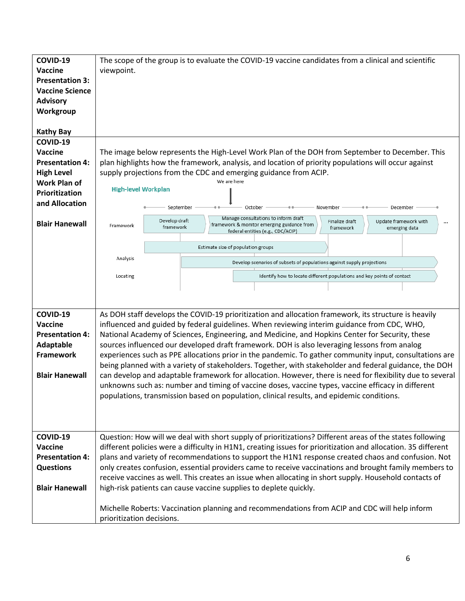| COVID-19               | The scope of the group is to evaluate the COVID-19 vaccine candidates from a clinical and scientific                                                           |  |  |
|------------------------|----------------------------------------------------------------------------------------------------------------------------------------------------------------|--|--|
| Vaccine                | viewpoint.                                                                                                                                                     |  |  |
| <b>Presentation 3:</b> |                                                                                                                                                                |  |  |
| <b>Vaccine Science</b> |                                                                                                                                                                |  |  |
| <b>Advisory</b>        |                                                                                                                                                                |  |  |
| Workgroup              |                                                                                                                                                                |  |  |
|                        |                                                                                                                                                                |  |  |
| <b>Kathy Bay</b>       |                                                                                                                                                                |  |  |
| COVID-19               |                                                                                                                                                                |  |  |
|                        |                                                                                                                                                                |  |  |
| Vaccine                | The image below represents the High-Level Work Plan of the DOH from September to December. This                                                                |  |  |
| <b>Presentation 4:</b> | plan highlights how the framework, analysis, and location of priority populations will occur against                                                           |  |  |
| <b>High Level</b>      | supply projections from the CDC and emerging guidance from ACIP.                                                                                               |  |  |
| <b>Work Plan of</b>    | We are here<br><b>High-level Workplan</b>                                                                                                                      |  |  |
| Prioritization         |                                                                                                                                                                |  |  |
| and Allocation         | September<br>November<br>December<br>October                                                                                                                   |  |  |
|                        | Manage consultations to inform draft                                                                                                                           |  |  |
| <b>Blair Hanewall</b>  | Develop draft<br>Update framework with<br>Finalize draft<br>framework & monitor emerging guidance from<br>Framework<br>framework<br>framework<br>emerging data |  |  |
|                        | federal entities (e.g., CDC/ACIP)                                                                                                                              |  |  |
|                        | Estimate size of population groups                                                                                                                             |  |  |
|                        | Analysis                                                                                                                                                       |  |  |
|                        | Develop scenarios of subsets of populations against supply projections                                                                                         |  |  |
|                        | Identify how to locate different populations and key points of contact<br>Locating                                                                             |  |  |
|                        |                                                                                                                                                                |  |  |
|                        |                                                                                                                                                                |  |  |
|                        |                                                                                                                                                                |  |  |
| COVID-19               | As DOH staff develops the COVID-19 prioritization and allocation framework, its structure is heavily                                                           |  |  |
| Vaccine                | influenced and guided by federal guidelines. When reviewing interim guidance from CDC, WHO,                                                                    |  |  |
| <b>Presentation 4:</b> | National Academy of Sciences, Engineering, and Medicine, and Hopkins Center for Security, these                                                                |  |  |
| <b>Adaptable</b>       | sources influenced our developed draft framework. DOH is also leveraging lessons from analog                                                                   |  |  |
| <b>Framework</b>       | experiences such as PPE allocations prior in the pandemic. To gather community input, consultations are                                                        |  |  |
|                        | being planned with a variety of stakeholders. Together, with stakeholder and federal guidance, the DOH                                                         |  |  |
| <b>Blair Hanewall</b>  | can develop and adaptable framework for allocation. However, there is need for flexibility due to several                                                      |  |  |
|                        | unknowns such as: number and timing of vaccine doses, vaccine types, vaccine efficacy in different                                                             |  |  |
|                        | populations, transmission based on population, clinical results, and epidemic conditions.                                                                      |  |  |
|                        |                                                                                                                                                                |  |  |
|                        |                                                                                                                                                                |  |  |
|                        |                                                                                                                                                                |  |  |
| COVID-19               | Question: How will we deal with short supply of prioritizations? Different areas of the states following                                                       |  |  |
| Vaccine                | different policies were a difficulty in H1N1, creating issues for prioritization and allocation. 35 different                                                  |  |  |
| <b>Presentation 4:</b> | plans and variety of recommendations to support the H1N1 response created chaos and confusion. Not                                                             |  |  |
| <b>Questions</b>       | only creates confusion, essential providers came to receive vaccinations and brought family members to                                                         |  |  |
|                        | receive vaccines as well. This creates an issue when allocating in short supply. Household contacts of                                                         |  |  |
| <b>Blair Hanewall</b>  | high-risk patients can cause vaccine supplies to deplete quickly.                                                                                              |  |  |
|                        |                                                                                                                                                                |  |  |
|                        | Michelle Roberts: Vaccination planning and recommendations from ACIP and CDC will help inform                                                                  |  |  |
|                        |                                                                                                                                                                |  |  |
|                        | prioritization decisions.                                                                                                                                      |  |  |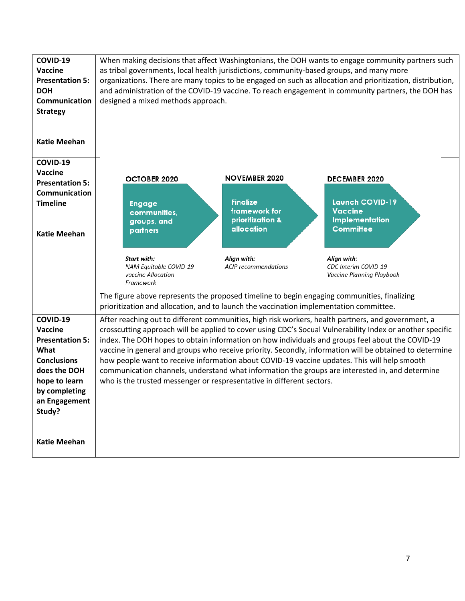| COVID-19<br>Vaccine<br><b>Presentation 5:</b><br><b>DOH</b><br>Communication<br><b>Strategy</b><br><b>Katie Meehan</b>                                   | as tribal governments, local health jurisdictions, community-based groups, and many more<br>designed a mixed methods approach.                                                                                                                                                                                                                                                                                                                                                                                                                                                                                                                                                                             |                                                                                            | When making decisions that affect Washingtonians, the DOH wants to engage community partners such<br>organizations. There are many topics to be engaged on such as allocation and prioritization, distribution,<br>and administration of the COVID-19 vaccine. To reach engagement in community partners, the DOH has |
|----------------------------------------------------------------------------------------------------------------------------------------------------------|------------------------------------------------------------------------------------------------------------------------------------------------------------------------------------------------------------------------------------------------------------------------------------------------------------------------------------------------------------------------------------------------------------------------------------------------------------------------------------------------------------------------------------------------------------------------------------------------------------------------------------------------------------------------------------------------------------|--------------------------------------------------------------------------------------------|-----------------------------------------------------------------------------------------------------------------------------------------------------------------------------------------------------------------------------------------------------------------------------------------------------------------------|
| COVID-19<br>Vaccine<br><b>Presentation 5:</b><br>Communication<br><b>Timeline</b><br><b>Katie Meehan</b>                                                 | <b>OCTOBER 2020</b><br><b>Engage</b><br>communities,<br>groups, and<br>partners                                                                                                                                                                                                                                                                                                                                                                                                                                                                                                                                                                                                                            | <b>NOVEMBER 2020</b><br><b>Finalize</b><br>framework for<br>prioritization &<br>allocation | <b>DECEMBER 2020</b><br><b>Launch COVID-19</b><br><b>Vaccine</b><br><b>Implementation</b><br><b>Committee</b>                                                                                                                                                                                                         |
|                                                                                                                                                          | Start with:<br>NAM Equitable COVID-19<br>vaccine Allocation<br>Framework<br>prioritization and allocation, and to launch the vaccination implementation committee.                                                                                                                                                                                                                                                                                                                                                                                                                                                                                                                                         | Align with:<br><b>ACIP</b> recommendations                                                 | Align with:<br>CDC Interim COVID-19<br>Vaccine Planning Playbook<br>The figure above represents the proposed timeline to begin engaging communities, finalizing                                                                                                                                                       |
| COVID-19<br>Vaccine<br><b>Presentation 5:</b><br>What<br><b>Conclusions</b><br>does the DOH<br>hope to learn<br>by completing<br>an Engagement<br>Study? | After reaching out to different communities, high risk workers, health partners, and government, a<br>crosscutting approach will be applied to cover using CDC's Socual Vulnerability Index or another specific<br>index. The DOH hopes to obtain information on how individuals and groups feel about the COVID-19<br>vaccine in general and groups who receive priority. Secondly, information will be obtained to determine<br>how people want to receive information about COVID-19 vaccine updates. This will help smooth<br>communication channels, understand what information the groups are interested in, and determine<br>who is the trusted messenger or respresentative in different sectors. |                                                                                            |                                                                                                                                                                                                                                                                                                                       |
| <b>Katie Meehan</b>                                                                                                                                      |                                                                                                                                                                                                                                                                                                                                                                                                                                                                                                                                                                                                                                                                                                            |                                                                                            |                                                                                                                                                                                                                                                                                                                       |